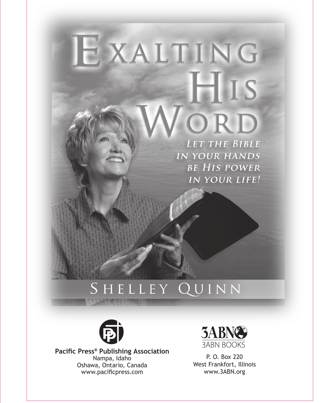# EXALTING HIS ORD LET THE BIBLE

**IN YOUR HANDS BE HIS POWER IN YOUR LIFE!** 

# SHELLEY QUINN



**Pacific Press® Publishing Association** Nampa, Idaho Oshawa, Ontario, Canada www.pacificpress.com



P. O. Box 220 West Frankfort, Illinois www.3ABN.org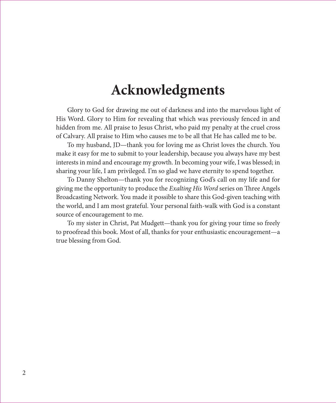## **Acknowledgments**

Glory to God for drawing me out of darkness and into the marvelous light of His Word. Glory to Him for revealing that which was previously fenced in and hidden from me. All praise to Jesus Christ, who paid my penalty at the cruel cross of Calvary. All praise to Him who causes me to be all that He has called me to be.

To my husband, JD—thank you for loving me as Christ loves the church. You make it easy for me to submit to your leadership, because you always have my best interests in mind and encourage my growth. In becoming your wife, I was blessed; in sharing your life, I am privileged. I'm so glad we have eternity to spend together.

To Danny Shelton—thank you for recognizing God's call on my life and for giving me the opportunity to produce the *Exalting His Word* series on Three Angels Broadcasting Network. You made it possible to share this God-given teaching with the world, and I am most grateful. Your personal faith-walk with God is a constant source of encouragement to me.

To my sister in Christ, Pat Mudgett—thank you for giving your time so freely to proofread this book. Most of all, thanks for your enthusiastic encouragement—a true blessing from God.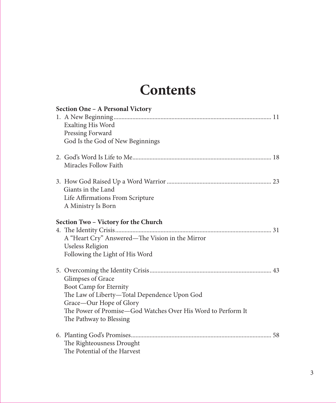# **Contents**

| Section One - A Personal Victory     |                                                              |
|--------------------------------------|--------------------------------------------------------------|
|                                      |                                                              |
|                                      | <b>Exalting His Word</b>                                     |
|                                      | Pressing Forward                                             |
|                                      | God Is the God of New Beginnings                             |
|                                      |                                                              |
|                                      | Miracles Follow Faith                                        |
|                                      |                                                              |
|                                      | Giants in the Land                                           |
|                                      | Life Affirmations From Scripture                             |
|                                      | A Ministry Is Born                                           |
| Section Two - Victory for the Church |                                                              |
|                                      |                                                              |
|                                      | A "Heart Cry" Answered—The Vision in the Mirror              |
|                                      | Useless Religion                                             |
|                                      | Following the Light of His Word                              |
|                                      |                                                              |
|                                      | Glimpses of Grace                                            |
|                                      | Boot Camp for Eternity                                       |
|                                      | The Law of Liberty-Total Dependence Upon God                 |
|                                      | Grace-Our Hope of Glory                                      |
|                                      | The Power of Promise—God Watches Over His Word to Perform It |
|                                      | The Pathway to Blessing                                      |
|                                      |                                                              |
|                                      | The Righteousness Drought                                    |
|                                      | The Potential of the Harvest                                 |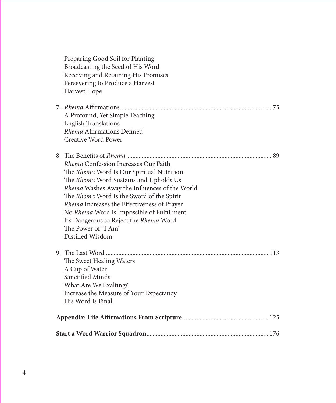| Preparing Good Soil for Planting<br>Broadcasting the Seed of His Word |  |  |
|-----------------------------------------------------------------------|--|--|
| Receiving and Retaining His Promises                                  |  |  |
| Persevering to Produce a Harvest                                      |  |  |
| Harvest Hope                                                          |  |  |
|                                                                       |  |  |
| A Profound, Yet Simple Teaching                                       |  |  |
| <b>English Translations</b>                                           |  |  |
| Rhema Affirmations Defined                                            |  |  |
| <b>Creative Word Power</b>                                            |  |  |
|                                                                       |  |  |
| Rhema Confession Increases Our Faith                                  |  |  |
| The Rhema Word Is Our Spiritual Nutrition                             |  |  |
| The Rhema Word Sustains and Upholds Us                                |  |  |
| Rhema Washes Away the Influences of the World                         |  |  |
| The Rhema Word Is the Sword of the Spirit                             |  |  |
| <i>Rhema</i> Increases the Effectiveness of Prayer                    |  |  |
| No Rhema Word Is Impossible of Fulfillment                            |  |  |
| It's Dangerous to Reject the Rhema Word                               |  |  |
| The Power of "I Am"                                                   |  |  |
| Distilled Wisdom                                                      |  |  |
|                                                                       |  |  |
| The Sweet Healing Waters                                              |  |  |
| A Cup of Water                                                        |  |  |
| Sanctified Minds                                                      |  |  |
| What Are We Exalting?                                                 |  |  |
| Increase the Measure of Your Expectancy                               |  |  |
| His Word Is Final                                                     |  |  |
|                                                                       |  |  |
|                                                                       |  |  |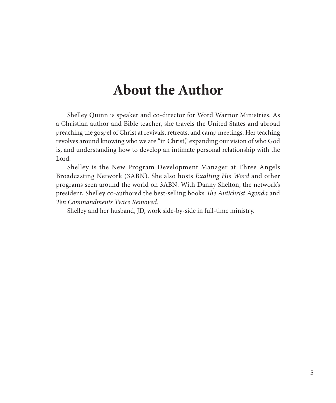# **About the Author**

Shelley Quinn is speaker and co-director for Word Warrior Ministries. As a Christian author and Bible teacher, she travels the United States and abroad preaching the gospel of Christ at revivals, retreats, and camp meetings. Her teaching revolves around knowing who we are "in Christ," expanding our vision of who God is, and understanding how to develop an intimate personal relationship with the Lord.

Shelley is the New Program Development Manager at Three Angels Broadcasting Network (3ABN). She also hosts *Exalting His Word* and other programs seen around the world on 3ABN. With Danny Shelton, the network's president, Shelley co-authored the best-selling books *The Antichrist Agenda* and *Ten Commandments Twice Removed.*

Shelley and her husband, JD, work side-by-side in full-time ministry.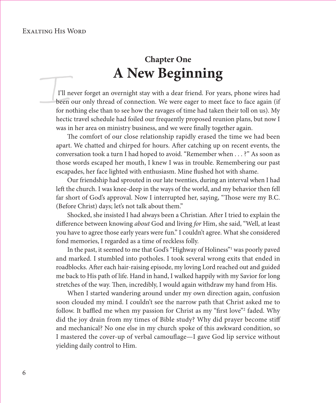#### Exalting His Word

## **Chapter One A New Beginning**

 I'll never forget an overnight stay with a dear friend. For years, phone wires had been our only thread of connection. We were eager to meet face to face again (if for nothing else than to see how the ravages of time had taken their toll on us). My hectic travel schedule had foiled our frequently proposed reunion plans, but now I was in her area on ministry business, and we were finally together again.

The comfort of our close relationship rapidly erased the time we had been apart. We chatted and chirped for hours. After catching up on recent events, the conversation took a turn I had hoped to avoid. "Remember when . . . ?" As soon as those words escaped her mouth, I knew I was in trouble. Remembering our past escapades, her face lighted with enthusiasm. Mine flushed hot with shame.

Our friendship had sprouted in our late twenties, during an interval when I had left the church. I was knee-deep in the ways of the world, and my behavior then fell far short of God's approval. Now I interrupted her, saying, "Those were my B.C. (Before Christ) days; let's not talk about them."

Shocked, she insisted I had always been a Christian. After I tried to explain the diff erence between knowing *about* God and living *for* Him, she said, "Well, at least you have to agree those early years were fun." I couldn't agree. What she considered fond memories, I regarded as a time of reckless folly.

In the past, it seemed to me that God's "Highway of Holiness"1 was poorly paved and marked. I stumbled into potholes. I took several wrong exits that ended in roadblocks. After each hair-raising episode, my loving Lord reached out and guided me back to His path of life. Hand in hand, I walked happily with my Savior for long stretches of the way. Then, incredibly, I would again withdraw my hand from His.

When I started wandering around under my own direction again, confusion soon clouded my mind. I couldn't see the narrow path that Christ asked me to follow. It baffled me when my passion for Christ as my "first love"<sup>2</sup> faded. Why did the joy drain from my times of Bible study? Why did prayer become stiff and mechanical? No one else in my church spoke of this awkward condition, so I mastered the cover-up of verbal camouflage—I gave God lip service without yielding daily control to Him.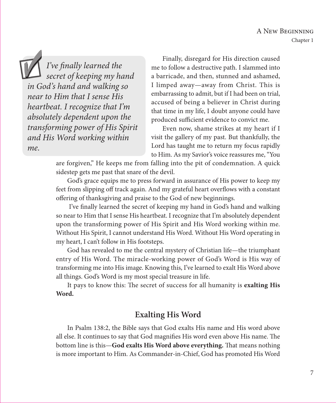*I've finally learned the secret of keeping my hand in God's hand and walking so near to Him that I sense His heartbeat. I recognize that I'm absolutely dependent upon the transforming power of His Spirit and His Word working within me.*

Finally, disregard for His direction caused me to follow a destructive path. I slammed into a barricade, and then, stunned and ashamed, I limped away—away from Christ. This is embarrassing to admit, but if I had been on trial, accused of being a believer in Christ during that time in my life, I doubt anyone could have produced sufficient evidence to convict me.

Even now, shame strikes at my heart if I visit the gallery of my past. But thankfully, the Lord has taught me to return my focus rapidly to Him. As my Savior's voice reassures me, "You

are forgiven," He keeps me from falling into the pit of condemnation. A quick sidestep gets me past that snare of the devil.

God's grace equips me to press forward in assurance of His power to keep my feet from slipping off track again. And my grateful heart overflows with a constant offering of thanksgiving and praise to the God of new beginnings.

I've finally learned the secret of keeping my hand in God's hand and walking so near to Him that I sense His heartbeat. I recognize that I'm absolutely dependent upon the transforming power of His Spirit and His Word working within me. Without His Spirit, I cannot understand His Word. Without His Word operating in my heart, I can't follow in His footsteps.

God has revealed to me the central mystery of Christian life—the triumphant entry of His Word. The miracle-working power of God's Word is His way of transforming me into His image. Knowing this, I've learned to exalt His Word above all things. God's Word is my most special treasure in life.

It pays to know this: The secret of success for all humanity is **exalting His Word.** 

## **Exalting His Word**

In Psalm 138:2, the Bible says that God exalts His name and His word above all else. It continues to say that God magnifies His word even above His name. The bottom line is this—**God exalts His Word above everything.** That means nothing is more important to Him. As Commander-in-Chief, God has promoted His Word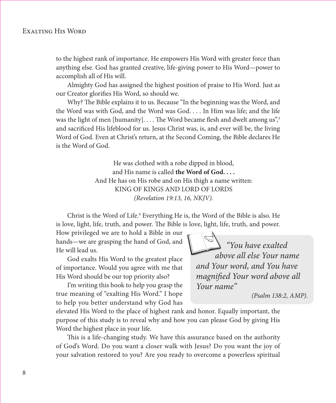to the highest rank of importance. He empowers His Word with greater force than anything else. God has granted creative, life-giving power to His Word—power to accomplish all of His will.

Almighty God has assigned the highest position of praise to His Word. Just as our Creator glorifies His Word, so should we.

Why? The Bible explains it to us. Because "In the beginning was the Word, and the Word was with God, and the Word was God. . . . In Him was life; and the life was the light of men [humanity].... The Word became flesh and dwelt among us<sup>"3</sup> and sacrificed His lifeblood for us. Jesus Christ was, is, and ever will be, the living Word of God. Even at Christ's return, at the Second Coming, the Bible declares He is the Word of God.

> He was clothed with a robe dipped in blood, and His name is called **the Word of God. . . .** And He has on His robe and on His thigh a name written: KING OF KINGS AND LORD OF LORDS *(Revelation 19:13, 16, NKJV).*

Christ is the Word of Life.<sup>4</sup> Everything He is, the Word of the Bible is also. He is love, light, life, truth, and power. The Bible is love, light, life, truth, and power.

How privileged we are to hold a Bible in our hands—we are grasping the hand of God, and He will lead us.

God exalts His Word to the greatest place of importance. Would you agree with me that His Word should be our top priority also?

I'm writing this book to help you grasp the true meaning of "exalting His Word." I hope to help you better understand why God has

elevated His Word to the place of highest rank and honor. Equally important, the purpose of this study is to reveal why and how you can please God by giving His Word the highest place in your life.

This is a life-changing study. We have this assurance based on the authority of God's Word. Do you want a closer walk with Jesus? Do you want the joy of your salvation restored to you? Are you ready to overcome a powerless spiritual

 *"You have exalted above all else Your name and Your word, and You have magnified Your word above all Your name"* 

*(Psalm 138:2, AMP).*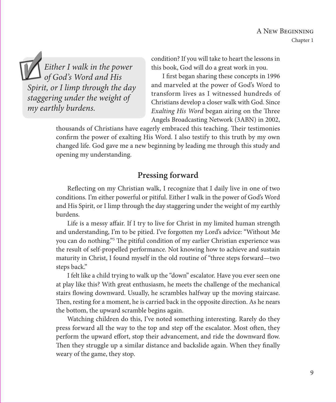*Either I walk in the power of God's Word and His Spirit, or I limp through the day staggering under the weight of my earthly burdens.* 

condition? If you will take to heart the lessons in this book, God will do a great work in you.

I first began sharing these concepts in 1996 and marveled at the power of God's Word to transform lives as I witnessed hundreds of Christians develop a closer walk with God. Since *Exalting His Word* began airing on the Three Angels Broadcasting Network (3ABN) in 2002,

thousands of Christians have eagerly embraced this teaching. Their testimonies confirm the power of exalting His Word. I also testify to this truth by my own changed life. God gave me a new beginning by leading me through this study and opening my understanding.

## **Pressing forward**

Reflecting on my Christian walk, I recognize that I daily live in one of two conditions. I'm either powerful or pitiful. Either I walk in the power of God's Word and His Spirit, or I limp through the day staggering under the weight of my earthly burdens.

Life is a messy affair. If I try to live for Christ in my limited human strength and understanding, I'm to be pitied. I've forgotten my Lord's advice: "Without Me you can do nothing."<sup>5</sup> The pitiful condition of my earlier Christian experience was the result of self-propelled performance. Not knowing how to achieve and sustain maturity in Christ, I found myself in the old routine of "three steps forward—two steps back."

I felt like a child trying to walk up the "down" escalator. Have you ever seen one at play like this? With great enthusiasm, he meets the challenge of the mechanical stairs flowing downward. Usually, he scrambles halfway up the moving staircase. Then, resting for a moment, he is carried back in the opposite direction. As he nears the bottom, the upward scramble begins again.

Watching children do this, I've noted something interesting. Rarely do they press forward all the way to the top and step off the escalator. Most often, they perform the upward effort, stop their advancement, and ride the downward flow. Then they struggle up a similar distance and backslide again. When they finally weary of the game, they stop.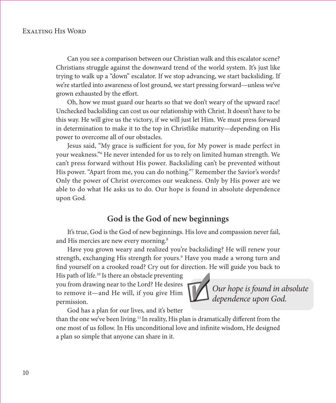Can you see a comparison between our Christian walk and this escalator scene? Christians struggle against the downward trend of the world system. It's just like trying to walk up a "down" escalator. If we stop advancing, we start backsliding. If we're startled into awareness of lost ground, we start pressing forward—unless we've grown exhausted by the effort.

Oh, how we must guard our hearts so that we don't weary of the upward race! Unchecked backsliding can cost us our relationship with Christ. It doesn't have to be this way. He will give us the victory, if we will just let Him. We must press forward in determination to make it to the top in Christlike maturity—depending on His power to overcome all of our obstacles.

Jesus said, "My grace is sufficient for you, for My power is made perfect in your weakness."6 He never intended for us to rely on limited human strength. We can't press forward without His power. Backsliding can't be prevented without His power. "Apart from me, you can do nothing."7 Remember the Savior's words? Only the power of Christ overcomes our weakness. Only by His power are we able to do what He asks us to do. Our hope is found in absolute dependence upon God.

### **God is the God of new beginnings**

It's true, God is the God of new beginnings. His love and compassion never fail, and His mercies are new every morning.<sup>8</sup>

Have you grown weary and realized you're backsliding? He will renew your strength, exchanging His strength for yours.9 Have you made a wrong turn and find yourself on a crooked road? Cry out for direction. He will guide you back to

His path of life.<sup>10</sup> Is there an obstacle preventing you from drawing near to the Lord? He desires to remove it—and He will, if you give Him permission.

 *dependence upon God.*

 *Our hope is found in absolute* 

God has a plan for our lives, and it's better

than the one we've been living.<sup>11</sup> In reality, His plan is dramatically different from the one most of us follow. In His unconditional love and infinite wisdom, He designed a plan so simple that anyone can share in it.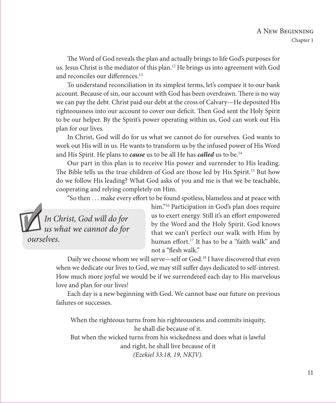The Word of God reveals the plan and actually brings to life God's purposes for us. Jesus Christ is the mediator of this plan.12 He brings us into agreement with God and reconciles our differences.<sup>13</sup>

To understand reconciliation in its simplest terms, let's compare it to our bank account. Because of sin, our account with God has been overdrawn. There is no way we can pay the debt. Christ paid our debt at the cross of Calvary—He deposited His righteousness into our account to cover our deficit. Then God sent the Holy Spirit to be our helper. By the Spirit's power operating within us, God can work out His plan for our lives.

In Christ, God will do for us what we cannot do for ourselves. God wants to work out His will in us. He wants to transform us by the infused power of His Word and His Spirit. He plans to *cause* us to be all He has *called* us to be.<sup>14</sup>

Our part in this plan is to receive His power and surrender to His leading. The Bible tells us the true children of God are those led by His Spirit.<sup>15</sup> But how do we follow His leading? What God asks of you and me is that we be teachable, cooperating and relying completely on Him.

"So then . . . make every effort to be found spotless, blameless and at peace with



him."<sup>16</sup> Participation in God's plan does require us to exert energy. Still it's an effort empowered by the Word and the Holy Spirit. God knows that we can't perfect our walk with Him by human effort.<sup>17</sup> It has to be a "faith walk" and not a "flesh walk."

Daily we choose whom we will serve—self or God.<sup>18</sup> I have discovered that even when we dedicate our lives to God, we may still suffer days dedicated to self-interest. How much more joyful we would be if we surrendered each day to His marvelous love and plan for our lives!

Each day is a new beginning with God. We cannot base our future on previous failures or successes.

When the righteous turns from his righteousness and commits iniquity, he shall die because of it.

But when the wicked turns from his wickedness and does what is lawful and right, he shall live because of it *(Ezekiel 33:18, 19, NKJV).*